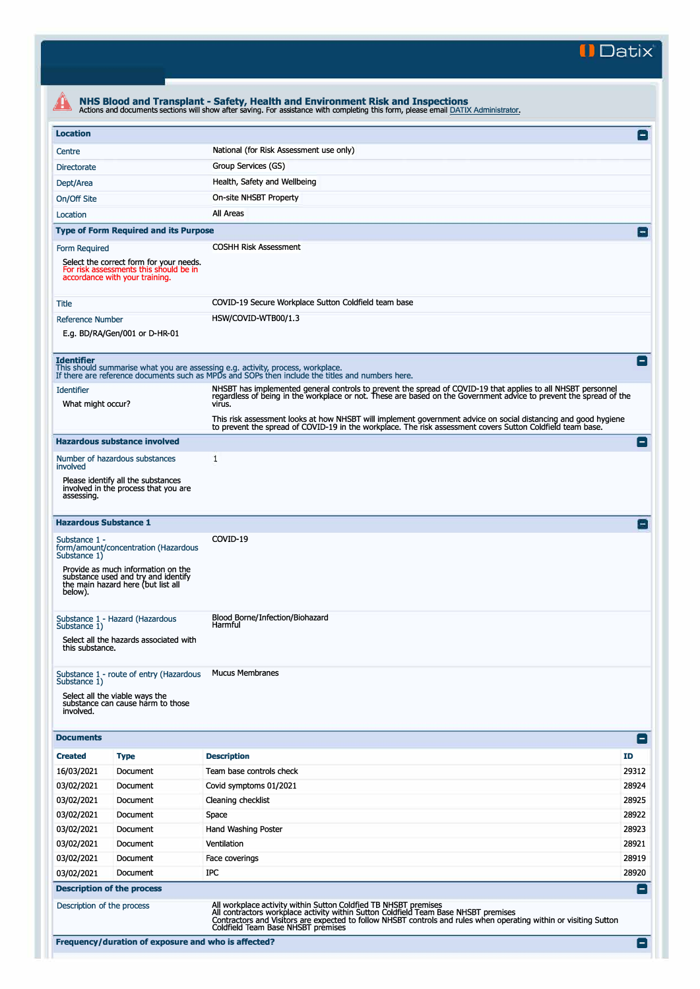**II Datix'** 

| <b>Location</b>                        |                                                                                                                     |                                                                                                                                                                                                                                                                                                                                                                                                                          | $\mathsf{L}$             |
|----------------------------------------|---------------------------------------------------------------------------------------------------------------------|--------------------------------------------------------------------------------------------------------------------------------------------------------------------------------------------------------------------------------------------------------------------------------------------------------------------------------------------------------------------------------------------------------------------------|--------------------------|
| Centre                                 |                                                                                                                     | National (for Risk Assessment use only)                                                                                                                                                                                                                                                                                                                                                                                  |                          |
| <b>Directorate</b>                     |                                                                                                                     | Group Services (GS)                                                                                                                                                                                                                                                                                                                                                                                                      |                          |
| Dept/Area                              |                                                                                                                     | Health, Safety and Wellbeing                                                                                                                                                                                                                                                                                                                                                                                             |                          |
| On/Off Site                            |                                                                                                                     | On-site NHSBT Property                                                                                                                                                                                                                                                                                                                                                                                                   |                          |
| Location                               |                                                                                                                     | All Areas                                                                                                                                                                                                                                                                                                                                                                                                                |                          |
|                                        |                                                                                                                     |                                                                                                                                                                                                                                                                                                                                                                                                                          |                          |
|                                        | <b>Type of Form Required and its Purpose</b>                                                                        |                                                                                                                                                                                                                                                                                                                                                                                                                          |                          |
| Form Required                          | Select the correct form for your needs.<br>For risk assessments this should be in<br>accordance with your training. | <b>COSHH Risk Assessment</b>                                                                                                                                                                                                                                                                                                                                                                                             |                          |
| Title                                  |                                                                                                                     | COVID-19 Secure Workplace Sutton Coldfield team base                                                                                                                                                                                                                                                                                                                                                                     |                          |
| <b>Reference Number</b>                |                                                                                                                     | HSW/COVID-WTB00/1.3                                                                                                                                                                                                                                                                                                                                                                                                      |                          |
|                                        | E.g. BD/RA/Gen/001 or D-HR-01                                                                                       |                                                                                                                                                                                                                                                                                                                                                                                                                          |                          |
| <b>Identifier</b><br><b>Identifier</b> |                                                                                                                     | This should summarise what you are assessing e.g. activity, process, workplace.<br>If there are reference documents such as MPDs and SOPs then include the titles and numbers here.<br>NHSBT has implemented general controls to prevent the spread of COVID-19 that applies to all NHSBT personnel<br>regardless of being in the workplace or not. These are based on the Government advice to prevent the spread of th | $\overline{\phantom{a}}$ |
| What might occur?                      |                                                                                                                     | virus.                                                                                                                                                                                                                                                                                                                                                                                                                   |                          |
|                                        |                                                                                                                     | This risk assessment looks at how NHSBT will implement government advice on social distancing and good hygiene<br>to prevent the spread of COVID-19 in the workplace. The risk assessment covers Sutton Coldfield team base.                                                                                                                                                                                             |                          |
|                                        | <b>Hazardous substance involved</b>                                                                                 |                                                                                                                                                                                                                                                                                                                                                                                                                          | i — i                    |
| involved                               | Number of hazardous substances                                                                                      | 1                                                                                                                                                                                                                                                                                                                                                                                                                        |                          |
| assessing.                             | Please identify all the substances<br>involved in the process that you are                                          |                                                                                                                                                                                                                                                                                                                                                                                                                          |                          |
| <b>Hazardous Substance 1</b>           |                                                                                                                     |                                                                                                                                                                                                                                                                                                                                                                                                                          |                          |
| Substance 1 -<br>Substance 1)          | form/amount/concentration (Hazardous                                                                                | COVID-19                                                                                                                                                                                                                                                                                                                                                                                                                 |                          |
| below).                                | Provide as much information on the<br>substance used and try and identify<br>the main hazard here (but list all     |                                                                                                                                                                                                                                                                                                                                                                                                                          |                          |
| Substance 1)<br>this substance.        | Substance 1 - Hazard (Hazardous<br>Select all the hazards associated with                                           | Blood Borne/Infection/Biohazard<br>Harmful                                                                                                                                                                                                                                                                                                                                                                               |                          |
|                                        |                                                                                                                     |                                                                                                                                                                                                                                                                                                                                                                                                                          |                          |
| Substance 1)<br>involved.              | Substance 1 - route of entry (Hazardous<br>Select all the viable ways the<br>substance can cause harm to those      | <b>Mucus Membranes</b>                                                                                                                                                                                                                                                                                                                                                                                                   |                          |
| <b>Documents</b>                       |                                                                                                                     |                                                                                                                                                                                                                                                                                                                                                                                                                          | E                        |
| <b>Created</b>                         | <b>Type</b>                                                                                                         | <b>Description</b>                                                                                                                                                                                                                                                                                                                                                                                                       | ID                       |
| 16/03/2021                             | Document                                                                                                            | Team base controls check                                                                                                                                                                                                                                                                                                                                                                                                 | 29312                    |
| 03/02/2021                             | Document                                                                                                            | Covid symptoms 01/2021                                                                                                                                                                                                                                                                                                                                                                                                   | 28924                    |
| 03/02/2021                             | Document                                                                                                            | Cleaning checklist                                                                                                                                                                                                                                                                                                                                                                                                       | 28925                    |
| 03/02/2021                             | Document                                                                                                            | Space                                                                                                                                                                                                                                                                                                                                                                                                                    | 28922                    |
| 03/02/2021                             | Document                                                                                                            | Hand Washing Poster                                                                                                                                                                                                                                                                                                                                                                                                      | 28923                    |
| 03/02/2021                             | Document                                                                                                            | Ventilation                                                                                                                                                                                                                                                                                                                                                                                                              | 28921                    |
| 03/02/2021                             | Document                                                                                                            | Face coverings                                                                                                                                                                                                                                                                                                                                                                                                           | 28919                    |
|                                        |                                                                                                                     | IPC                                                                                                                                                                                                                                                                                                                                                                                                                      |                          |
| 03/02/2021                             | Document                                                                                                            |                                                                                                                                                                                                                                                                                                                                                                                                                          | 28920                    |
|                                        | <b>Description of the process</b>                                                                                   |                                                                                                                                                                                                                                                                                                                                                                                                                          | $\blacksquare$           |
| Description of the process             |                                                                                                                     | All workplace activity within Sutton Coldfied TB NHSBT premises<br>All contractors workplace activity within Sutton Coldfield Team Base NHSBT premises<br>Contractors and Visitors are expected to follow NHSBT controls and rules when operating within or visiting Sutton                                                                                                                                              |                          |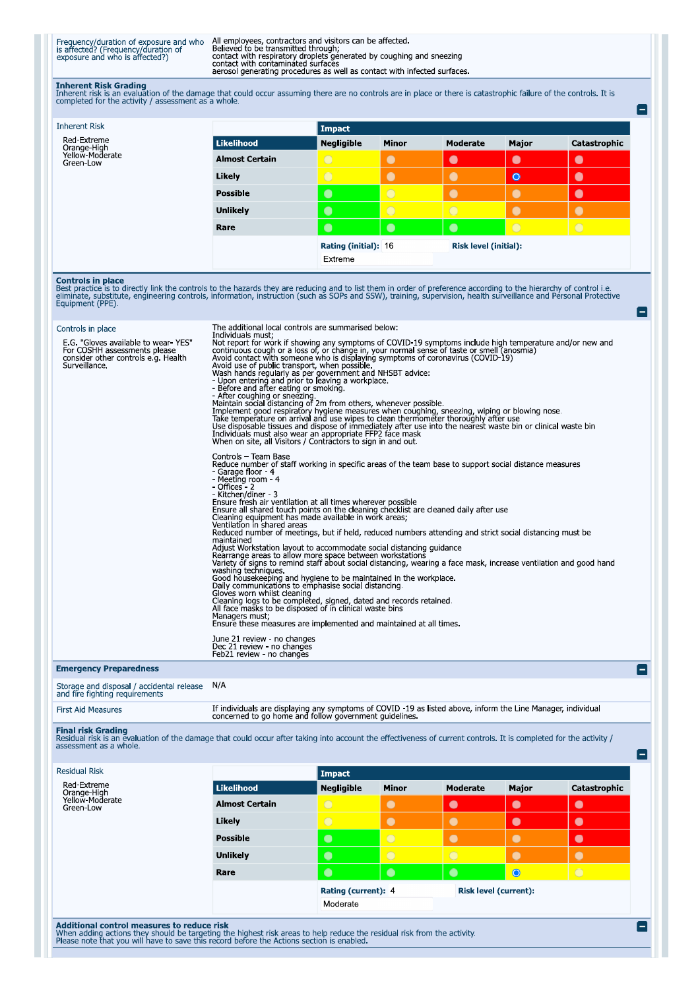Frequency/duration of exposure and who<br>is affected? (Frequency/duration of<br>exposure and who is affected?)

All employees, contractors and visitors can be affected.<br>Believed to be transmitted through;<br>contact with respiratory droplets generated by coughing and sneezing<br>contact with contaminated surfaces<br>aerosol generating proced

 $\blacksquare$ 

e

Ξ

Inherent Risk Grading<br>Inherent risk is an evaluation of the damage that could occur assuming there are no controls are in place or there is catastrophic failure of the controls. It is<br>completed for the activity / assessmen

| <b>Inherent Risk</b>                                                                                                                                                                                                                                                                                                                                                                   |                                                                                                                                                                                                                                                                                                                                                                                                                                                                                                                                                                                                                                                                                                                                                                                                                                                                                                                                                                                                                                                                                                                                                                                                                                                                                                                                                                                                                                | <b>Impact</b>                          |            |                              |            |              |
|----------------------------------------------------------------------------------------------------------------------------------------------------------------------------------------------------------------------------------------------------------------------------------------------------------------------------------------------------------------------------------------|--------------------------------------------------------------------------------------------------------------------------------------------------------------------------------------------------------------------------------------------------------------------------------------------------------------------------------------------------------------------------------------------------------------------------------------------------------------------------------------------------------------------------------------------------------------------------------------------------------------------------------------------------------------------------------------------------------------------------------------------------------------------------------------------------------------------------------------------------------------------------------------------------------------------------------------------------------------------------------------------------------------------------------------------------------------------------------------------------------------------------------------------------------------------------------------------------------------------------------------------------------------------------------------------------------------------------------------------------------------------------------------------------------------------------------|----------------------------------------|------------|------------------------------|------------|--------------|
| Red-Extreme                                                                                                                                                                                                                                                                                                                                                                            | <b>Likelihood</b>                                                                                                                                                                                                                                                                                                                                                                                                                                                                                                                                                                                                                                                                                                                                                                                                                                                                                                                                                                                                                                                                                                                                                                                                                                                                                                                                                                                                              | Negligible                             | Minor      | <b>Moderate</b>              | Major      | Catastrophic |
| Orange-High<br>Yellow-Moderate<br>Green-Low                                                                                                                                                                                                                                                                                                                                            | <b>Almost Certain</b>                                                                                                                                                                                                                                                                                                                                                                                                                                                                                                                                                                                                                                                                                                                                                                                                                                                                                                                                                                                                                                                                                                                                                                                                                                                                                                                                                                                                          |                                        | $\bullet$  | $\bullet$                    | $\bullet$  | $\bullet$    |
|                                                                                                                                                                                                                                                                                                                                                                                        | Likely                                                                                                                                                                                                                                                                                                                                                                                                                                                                                                                                                                                                                                                                                                                                                                                                                                                                                                                                                                                                                                                                                                                                                                                                                                                                                                                                                                                                                         | $\overline{O}$                         | $\bullet$  | $\bullet$                    | $\bullet$  | $\bullet$    |
|                                                                                                                                                                                                                                                                                                                                                                                        | <b>Possible</b>                                                                                                                                                                                                                                                                                                                                                                                                                                                                                                                                                                                                                                                                                                                                                                                                                                                                                                                                                                                                                                                                                                                                                                                                                                                                                                                                                                                                                | $\bullet$                              | $\bigcirc$ | ∩                            | C          | $\bullet$    |
|                                                                                                                                                                                                                                                                                                                                                                                        | <b>Unlikely</b>                                                                                                                                                                                                                                                                                                                                                                                                                                                                                                                                                                                                                                                                                                                                                                                                                                                                                                                                                                                                                                                                                                                                                                                                                                                                                                                                                                                                                | $\bullet$                              | $\bigcap$  | $\bigcap$                    | $\bullet$  | $\bullet$    |
|                                                                                                                                                                                                                                                                                                                                                                                        | Rare                                                                                                                                                                                                                                                                                                                                                                                                                                                                                                                                                                                                                                                                                                                                                                                                                                                                                                                                                                                                                                                                                                                                                                                                                                                                                                                                                                                                                           | $\bullet$                              | $\bullet$  | $\bullet$                    | $\bigcirc$ | $\bigcirc$   |
|                                                                                                                                                                                                                                                                                                                                                                                        |                                                                                                                                                                                                                                                                                                                                                                                                                                                                                                                                                                                                                                                                                                                                                                                                                                                                                                                                                                                                                                                                                                                                                                                                                                                                                                                                                                                                                                | <b>Rating (initial): 16</b><br>Extreme |            | <b>Risk level (initial):</b> |            |              |
| <b>Controls in place</b><br>Best practice is to directly link the controls to the hazards they are reducing and to list them in order of preference according to the hierarchy of control i.e.<br>eliminate, substitute, engineering controls, information, instruction (such as SOPs and SSW), training, supervision, health surveillance and Personal Protective<br>Equipment (PPE). |                                                                                                                                                                                                                                                                                                                                                                                                                                                                                                                                                                                                                                                                                                                                                                                                                                                                                                                                                                                                                                                                                                                                                                                                                                                                                                                                                                                                                                |                                        |            |                              |            |              |
| Controls in place<br>E.G. "Gloves available to wear-YES"<br>For COSHH assessments please<br>consider other controls e.g. Health<br>Surveillance.                                                                                                                                                                                                                                       | The additional local controls are summarised below:<br>Individuals must;<br>nunitional struct, if showing any symptoms of COVID-19 symptoms include high temperature and/or new and<br>continuous cough or a loss of, or change in, your normal sense of taste or smell (anosmia)<br>Avoid contact with someone<br>Avoid use of public transport, when possible<br>Avoid use or public transport, when possible.<br>Wash hands regularly as per government and NHSBT advice:<br>- Upon entering and prior to leaving a workplace.<br>- Before and after eating or smoking.<br>- After coughing or smezing<br>The disposable tissues and dispose of immediately after use into the nearest waste bin or clinical waste bin<br>Individuals must also wear an appropriate FFP2 face mask<br>When on site, all Visitors / Contractors to sign in and<br>Controls - Team Base<br>Reduce number of staff working in specific areas of the team base to support social distance measures<br>- Garage floor - 4<br>- Meeting room - 4<br>- Offices - 2<br>- Kitchen/diner - 3<br>Ensure fresh air ventilation at all times wherever possible<br>Ensure all shared touch points on the cleaning checklist are cleaned daily after use<br>Cleaning equipment has made available in work areas;<br>Ventilation in shared areas<br>Reduced number of meetings, but if held, reduced numbers attending and strict social distancing must be |                                        |            |                              |            |              |
|                                                                                                                                                                                                                                                                                                                                                                                        | maintained<br>Adjust Workstation layout to accommodate social distancing quidance<br>happen for the areas to allow more space between workstations<br>Rearrange areas to allow more space between workstations<br>Variety of signs to remind staff about social distancing, wearing a face mask, increase ventilation and<br>washing techniques.<br>Good housekeeping and hygiene to be maintained in the workplace.<br>Daily communications to emphasise social distancing.<br>Gloves worn whilst cleaning<br>Cleaning logs to be completed, signed, dated and records retained.<br>All face masks to be disposed of in clinical waste bins<br>Managers must;<br>Ensure these measures are implemented and maintained at all times                                                                                                                                                                                                                                                                                                                                                                                                                                                                                                                                                                                                                                                                                            |                                        |            |                              |            |              |
|                                                                                                                                                                                                                                                                                                                                                                                        | June 21 review - no changes<br>Dec 21 review - no changes<br>Feb21 review - no changes                                                                                                                                                                                                                                                                                                                                                                                                                                                                                                                                                                                                                                                                                                                                                                                                                                                                                                                                                                                                                                                                                                                                                                                                                                                                                                                                         |                                        |            |                              |            |              |
| <b>Emergency Preparedness</b>                                                                                                                                                                                                                                                                                                                                                          |                                                                                                                                                                                                                                                                                                                                                                                                                                                                                                                                                                                                                                                                                                                                                                                                                                                                                                                                                                                                                                                                                                                                                                                                                                                                                                                                                                                                                                |                                        |            |                              |            |              |
| Storage and disposal / accidental release<br>and fire fighting requirements                                                                                                                                                                                                                                                                                                            | N/A                                                                                                                                                                                                                                                                                                                                                                                                                                                                                                                                                                                                                                                                                                                                                                                                                                                                                                                                                                                                                                                                                                                                                                                                                                                                                                                                                                                                                            |                                        |            |                              |            |              |
| <b>First Aid Measures</b>                                                                                                                                                                                                                                                                                                                                                              | If individuals are displaying any symptoms of COVID -19 as listed above, inform the Line Manager, individual<br>concerned to go home and follow government guidelines.                                                                                                                                                                                                                                                                                                                                                                                                                                                                                                                                                                                                                                                                                                                                                                                                                                                                                                                                                                                                                                                                                                                                                                                                                                                         |                                        |            |                              |            |              |

Final risk Grading<br>Residual risk is an evaluation of the damage that could occur after taking into account the effectiveness of current controls. It is completed for the activity /<br>assessment as a whole.

| <b>Residual Risk</b>                          |                       | Impact              |                |                              |           |              |
|-----------------------------------------------|-----------------------|---------------------|----------------|------------------------------|-----------|--------------|
| Red-Extreme<br>Orange-High<br>Yellow-Moderate | Likelihood            | <b>Negligible</b>   | <b>Minor</b>   | Moderate                     | Major     | Catastrophic |
| Green-Low                                     | <b>Almost Certain</b> | $\bigcirc$          | $\bullet$      | $\bullet$                    | $\bullet$ | $\bullet$    |
|                                               | Likely                | $\bigcirc$          | $\bullet$      | $\bullet$                    | $\bullet$ | $\bullet$    |
|                                               | <b>Possible</b>       | $\bullet$           | $\overline{O}$ | $\bullet$                    | $\bullet$ | $\bullet$    |
|                                               | <b>Unlikely</b>       | $\bullet$           | $\circ$        | $\bigcirc$                   | $\bullet$ | $\bullet$    |
|                                               | Rare                  | $\bullet$           | $\bullet$      | $\bullet$                    | $\bullet$ | $\bigcirc$   |
|                                               |                       | Rating (current): 4 |                | <b>Risk level (current):</b> |           |              |
|                                               |                       | Moderate            |                |                              |           |              |

Additional control measures to reduce risk<br>When adding actions they should be targeting the highest risk areas to help reduce the residual risk from the activity.<br>Please note that you will have to save this record before t